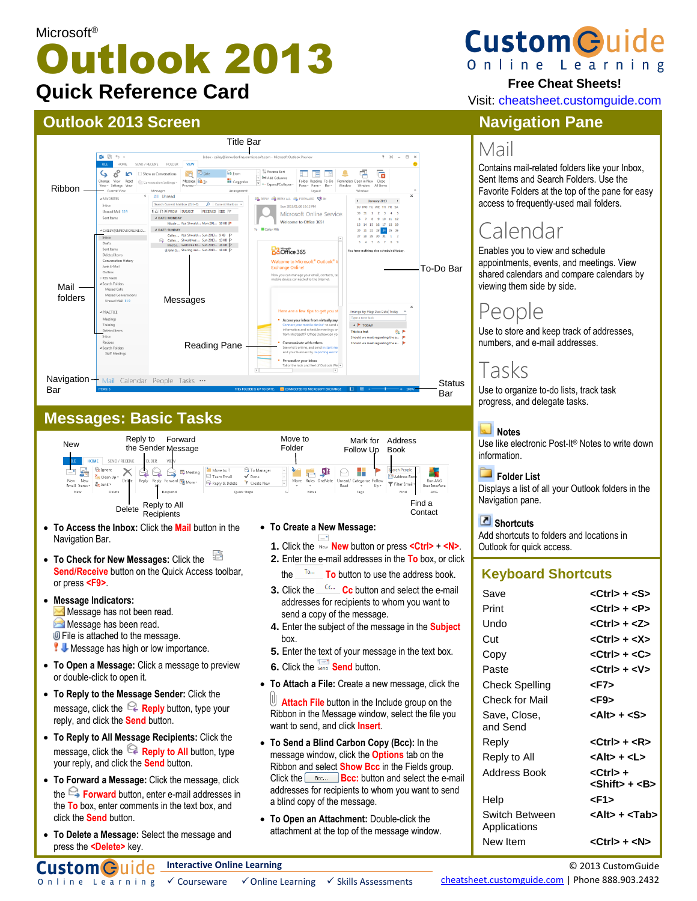# Microsoft® Outlook 2013 **Quick Reference Card**

# **Outlook 2013 Screen**



# **Messages: Basic Tasks**



- **To Check for New Messages:** Click the **Send/Receive** button on the Quick Access toolbar. or press **<F9>**.
- **Message Indicators:** Message has not been read. **Message has been read. U** File is attached to the message. **W** Message has high or low importance.
- **To Open a Message:** Click a message to preview or double-click to open it.
- **To Reply to the Message Sender:** Click the message, click the  $\mathbb{R}$  **Reply** button, type your reply, and click the **Send** button.
- **To Reply to All Message Recipients:** Click the message, click the **Reply to All** button, type your reply, and click the **Send** button.
- **To Forward a Message:** Click the message, click the **Forward** button, enter e-mail addresses in the **To** box, enter comments in the text box, and click the **Send** button.
- **To Delete a Message:** Select the message and press the **<Delete>** key.
- 
- **1.** Click the **New** button or press **<Ctrl>** + **<N>**.
- **2.** Enter the e-mail addresses in the **To** box, or click the **To** button to use the address book.
- **3.** Click the **Cc** button and select the e-mail addresses for recipients to whom you want to send a copy of the message.
- **4.** Enter the subject of the message in the **Subject**  box.
- **5.** Enter the text of your message in the text box.
- **6.** Click the **Send** button.
- **To Attach a File:** Create a new message, click the

**Attach File** button in the Include group on the Ribbon in the Message window, select the file you want to send, and click **Insert**.

- **To Send a Blind Carbon Copy (Bcc):** In the message window, click the **Options** tab on the Ribbon and select **Show Bcc** in the Fields group. Click the **Bcc: Bcc:** button and select the e-mail addresses for recipients to whom you want to send a blind copy of the message.
- **To Open an Attachment:** Double-click the attachment at the top of the message window.

# **Custom Guid** Online Learning

### **Free Cheat Sheets!**

Visit: cheatsheet.customguide.com

# **Navigation Pane**

# Mail

Contains mail-related folders like your Inbox, Sent Items and Search Folders. Use the Favorite Folders at the top of the pane for easy access to frequently-used mail folders.

# Calendar

Enables you to view and schedule appointments, events, and meetings. View shared calendars and compare calendars by viewing them side by side.

# People

Use to store and keep track of addresses, numbers, and e-mail addresses.

# Tasks

Use to organize to-do lists, track task progress, and delegate tasks.

#### **Notes**

Use like electronic Post-It® Notes to write down information.

 **Folder List** 

Displays a list of all your Outlook folders in the Navigation pane.

#### **Shortcuts**

Add shortcuts to folders and locations in Outlook for quick access.

### **Keyboard Shortcuts**

| Save                           | <ctrl> + <s></s></ctrl>                       |
|--------------------------------|-----------------------------------------------|
| Print                          | <ctrl> + <p></p></ctrl>                       |
| Undo                           | <ctrl> + <z></z></ctrl>                       |
| Cut                            | <ctrl> + <x></x></ctrl>                       |
| Copy                           | $<$ Ctrl $>$ + $<$ C $>$                      |
| Paste                          | $<$ Ctrl $>$ + $<$ V $>$                      |
| Check Spelling                 | <f7></f7>                                     |
| Check for Mail                 | <f9></f9>                                     |
| Save, Close,<br>and Send       | <alt> + <s></s></alt>                         |
| Reply                          | $<$ Ctrl $>$ + $<$ R $>$                      |
| Reply to All                   | <alt> + <l></l></alt>                         |
| Address Book                   | <ctrl> +<br/><shift> + <b></b></shift></ctrl> |
| Help                           | <f1></f1>                                     |
| Switch Between<br>Applications | <alt> + <tab></tab></alt>                     |
| New Item                       | <ctrl> + <n></n></ctrl>                       |

Online Learning  $\checkmark$  Courseware  $\checkmark$  Online Learning  $\checkmark$  Skills Assessments

© 2013 CustomGuide

[cheatsheet.customguide.com](http://www.customguide.com/) | Phone 888.903.2432